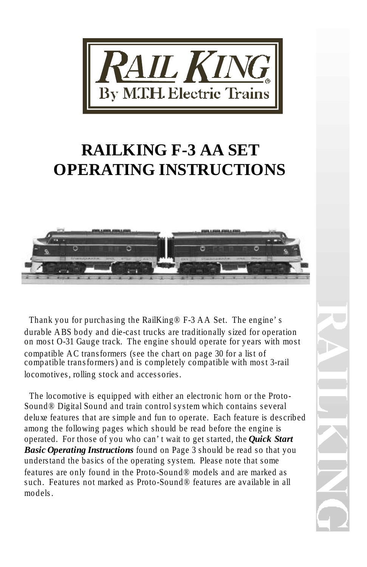

# **RAILKING F-3 AA SET OPERATING INSTRUCTIONS**



 Thank you for purchasing the RailKing® F-3 AA Set. The engine's durable ABS body and die-cast trucks are traditionally sized for operation on most O-31 Gauge track. The engine should operate for years with most compatible AC transformers (see the chart on page 30 for a list of compatible transformers) and is completely compatible with most 3-rail locomotives, rolling stock and accessories.

 The locomotive is equipped with either an electronic horn or the Proto-Sound® Digital Sound and train control system which contains several deluxe features that are simple and fun to operate. Each feature is described among the following pages which should be read before the engine is operated. For those of you who can't wait to get started, the *Quick Start Basic Operating Instructions* found on Page 3 should be read so that you understand the basics of the operating system. Please note that some features are only found in the Proto-Sound® models and are marked as such. Features not marked as Proto-Sound® features are available in all models.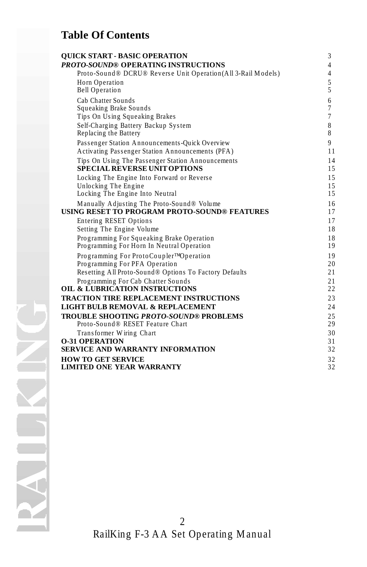## **Table Of Contents**

| <b>OUICK START - BASIC OPERATION</b>                          | 3              |
|---------------------------------------------------------------|----------------|
| <b>PROTO-SOUND® OPERATING INSTRUCTIONS</b>                    | $\overline{4}$ |
| Proto-Sound® DCRU® Reverse Unit Operation (All 3-Rail Models) | $\overline{4}$ |
| Horn Operation                                                | 5              |
| <b>Bell Operation</b>                                         | 5              |
| <b>Cab Chatter Sounds</b>                                     | 6              |
| Squeaking Brake Sounds                                        | $\overline{7}$ |
| Tips On Using Squeaking Brakes                                | $\overline{7}$ |
| Self-Charging Battery Backup System                           | 8              |
| Replacing the Battery                                         | 8              |
| Passenger Station Announcements-Quick Overview                | 9              |
| Activating Passenger Station Announcements (PFA)              | 11             |
| Tips On Using The Passenger Station Announcements             | 14             |
| <b>SPECIAL REVERSE UNIT OPTIONS</b>                           | 15             |
| Locking The Engine Into Forward or Reverse                    | 15             |
| Unlocking The Engine                                          | 15             |
| Locking The Engine Into Neutral                               | 15             |
| Manually Adjusting The Proto-Sound® Volume                    | 16             |
| USING RESET TO PROGRAM PROTO-SOUND® FEATURES                  | 17             |
| <b>Entering RESET Options</b>                                 | 17             |
| Setting The Engine Volume                                     | 18             |
| Programming For Squeaking Brake Operation                     | 18             |
| Programming For Horn In Neutral Operation                     | 19             |
| Programming For ProtoCoupler™Operation                        | 19             |
| Programming For PFA Operation                                 | 20             |
| Resetting All Proto-Sound® Options To Factory Defaults        | 21             |
| Programming For Cab Chatter Sounds                            | 21             |
| OIL & LUBRICATION INSTRUCTIONS                                | 22             |
| <b>TRACTION TIRE REPLACEMENT INSTRUCTIONS</b>                 | 23             |
| <b>LIGHT BULB REMOVAL &amp; REPLACEMENT</b>                   | 24             |
| <b>TROUBLE SHOOTING PROTO-SOUND® PROBLEMS</b>                 | 25             |
| Proto-Sound <sup>®</sup> RESET Feature Chart                  | 29             |
| Transformer Wiring Chart                                      | 30             |
| <b>O-31 OPERATION</b>                                         | 31             |
| <b>SERVICE AND WARRANTY INFORMATION</b>                       | 32             |
| <b>HOW TO GET SERVICE</b>                                     | 32             |
| <b>LIMITED ONE YEAR WARRANTY</b>                              | 32             |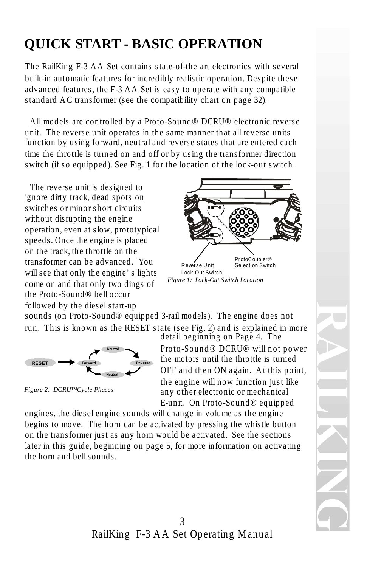# **QUICK START - BASIC OPERATION**

The RailKing F-3 AA Set contains state-of-the art electronics with several built-in automatic features for incredibly realistic operation. Despite these advanced features, the F-3 AA Set is easy to operate with any compatible standard AC transformer (see the compatibility chart on page 32).

 All models are controlled by a Proto-Sound® DCRU® electronic reverse unit. The reverse unit operates in the same manner that all reverse units function by using forward, neutral and reverse states that are entered each time the throttle is turned on and off or by using the transformer direction switch (if so equipped). See Fig. 1 for the location of the lock-out switch.

 The reverse unit is designed to ignore dirty track, dead spots on switches or minor short circuits without disrupting the engine operation, even at slow, prototypical speeds. Once the engine is placed on the track, the throttle on the transformer can be advanced. You will see that only the engine's lights come on and that only two dings of the Proto-Sound® bell occur followed by the diesel start-up



*Figure 1: Lock-Out Switch Location*

sounds (on Proto-Sound® equipped 3-rail models). The engine does not run. This is known as the RESET state (see Fig. 2) and is explained in more



*Figure 2: DCRU™ Cycle Phases*

detail beginning on Page 4. The Proto-Sound® DCRU® will not power the motors until the throttle is turned OFF and then ON again. At this point, the engine will now function just like any other electronic or mechanical E-unit. On Proto-Sound® equipped

engines, the diesel engine sounds will change in volume as the engine begins to move. The horn can be activated by pressing the whistle button on the transformer just as any horn would be activated. See the sections later in this guide, beginning on page 5, for more information on activating the horn and bell sounds.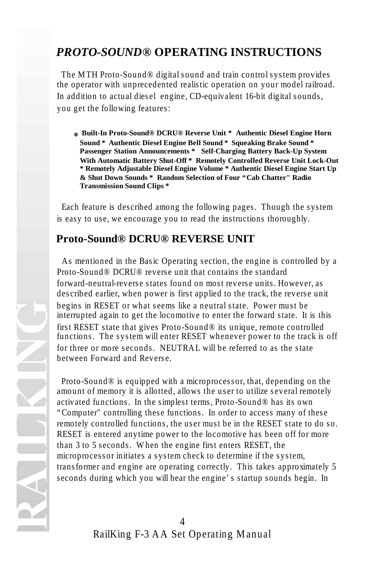## *PROTO-SOUND***® OPERATING INSTRUCTIONS**

 The MTH Proto-Sound® digital sound and train control system provides the operator with unprecedented realistic operation on your model railroad. In addition to actual diesel engine, CD-equivalent 16-bit digital sounds, you get the following features:

1. <sup>∗</sup> **Built-In Proto-Sound® DCRU® Reverse Unit \* Authentic Diesel Engine Horn Sound \* Authentic Diesel Engine Bell Sound \* Squeaking Brake Sound \* Passenger Station Announcements \* Self-Charging Battery Back-Up System With Automatic Battery Shut-Off \* Remotely Controlled Reverse Unit Lock-Out \* Remotely Adjustable Diesel Engine Volume \* Authentic Diesel Engine Start Up & Shut Down Sounds \* Random Selection of Four "Cab Chatter" Radio Transmission Sound Clips \*** 

 Each feature is described among the following pages. Though the system is easy to use, we encourage you to read the instructions thoroughly.

#### **Proto-Sound® DCRU® REVERSE UNIT**

 As mentioned in the Basic Operating section, the engine is controlled by a Proto-Sound® DCRU® reverse unit that contains the standard forward-neutral-reverse states found on most reverse units. However, as described earlier, when power is first applied to the track, the reverse unit begins in RESET or what seems like a neutral state. Power must be interrupted again to get the locomotive to enter the forward state. It is this first RESET state that gives Proto-Sound® its unique, remote controlled functions. The system will enter RESET whenever power to the track is off for three or more seconds. NEUTRAL will be referred to as the state between Forward and Reverse.

 Proto-Sound® is equipped with a microprocessor, that, depending on the amount of memory it is allotted, allows the user to utilize several remotely activated functions. In the simplest terms, Proto-Sound® has its own "Computer" controlling these functions. In order to access many of these remotely controlled functions, the user must be in the RESET state to do so. RESET is entered anytime power to the locomotive has been off for more than 3 to 5 seconds. When the engine first enters RESET, the microprocessor initiates a system check to determine if the system, transformer and engine are operating correctly. This takes approximately 5 seconds during which you will hear the engine's startup sounds begin. In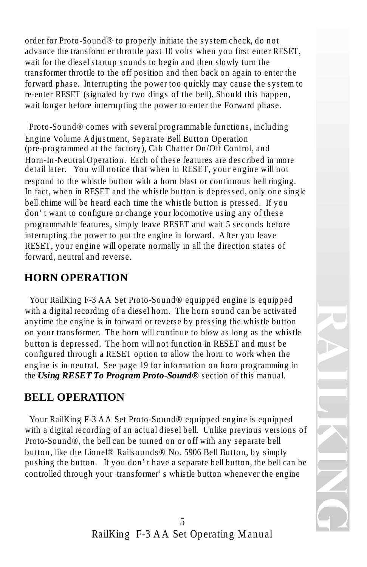order for Proto-Sound® to properly initiate the system check, do not advance the transform er throttle past 10 volts when you first enter RESET, wait for the diesel startup sounds to begin and then slowly turn the transformer throttle to the off position and then back on again to enter the forward phase. Interrupting the power too quickly may cause the system to re-enter RESET (signaled by two dings of the bell). Should this happen, wait longer before interrupting the power to enter the Forward phase.

 Proto-Sound® comes with several programmable functions, including Engine Volume Adjustment, Separate Bell Button Operation (pre-programmed at the factory), Cab Chatter On/Off Control, and Horn-In-Neutral Operation. Each of these features are described in more detail later. You will notice that when in RESET, your engine will not respond to the whistle button with a horn blast or continuous bell ringing. In fact, when in RESET and the whistle button is depressed, only one single bell chime will be heard each time the whistle button is pressed. If you don't want to configure or change your locomotive using any of these programmable features, simply leave RESET and wait 5 seconds before interrupting the power to put the engine in forward. After you leave RESET, your engine will operate normally in all the direction states of forward, neutral and reverse.

#### **HORN OPERATION**

 Your RailKing F-3 AA Set Proto-Sound® equipped engine is equipped with a digital recording of a diesel horn. The horn sound can be activated anytime the engine is in forward or reverse by pressing the whistle button on your transformer. The horn will continue to blow as long as the whistle button is depressed. The horn will not function in RESET and must be configured through a RESET option to allow the horn to work when the engine is in neutral. See page 19 for information on horn programming in the *Using RESET To Program Proto-Sound®* section of this manual.

#### **BELL OPERATION**

 Your RailKing F-3 AA Set Proto-Sound® equipped engine is equipped with a digital recording of an actual diesel bell. Unlike previous versions of Proto-Sound®, the bell can be turned on or off with any separate bell button, like the Lionel® Railsounds® No. 5906 Bell Button, by simply pushing the button. If you don't have a separate bell button, the bell can be controlled through your transformer's whistle button whenever the engine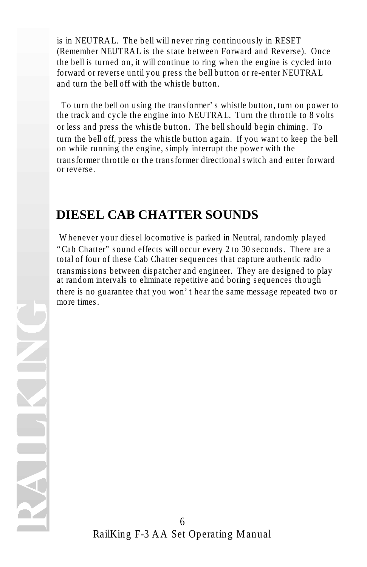is in NEUTRAL. The bell will never ring continuously in RESET (Remember NEUTRAL is the state between Forward and Reverse). Once the bell is turned on, it will continue to ring when the engine is cycled into forward or reverse until you press the bell button or re-enter NEUTRAL and turn the bell off with the whistle button.

 To turn the bell on using the transformer's whistle button, turn on power to the track and cycle the engine into NEUTRAL. Turn the throttle to 8 volts or less and press the whistle button. The bell should begin chiming. To turn the bell off, press the whistle button again. If you want to keep the bell on while running the engine, simply interrupt the power with the transformer throttle or the transformer directional switch and enter forward or reverse.

## **DIESEL CAB CHATTER SOUNDS**

 Whenever your diesel locomotive is parked in Neutral, randomly played "Cab Chatter" sound effects will occur every 2 to 30 seconds. There are a total of four of these Cab Chatter sequences that capture authentic radio transmissions between dispatcher and engineer. They are designed to play at random intervals to eliminate repetitive and boring sequences though there is no guarantee that you won't hear the same message repeated two or more times.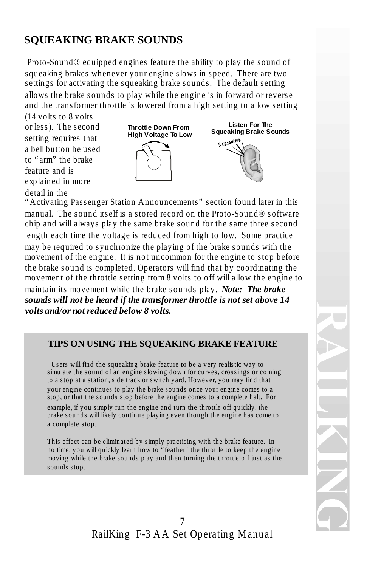### **SQUEAKING BRAKE SOUNDS**

 Proto-Sound® equipped engines feature the ability to play the sound of squeaking brakes whenever your engine slows in speed. There are two settings for activating the squeaking brake sounds. The default setting allows the brake sounds to play while the engine is in forward or reverse and the transformer throttle is lowered from a high setting to a low setting

(14 volts to 8 volts or less). The second setting requires that a bell button be used to "arm" the brake feature and is explained in more detail in the



"Activating Passenger Station Announcements" section found later in this manual. The sound itself is a stored record on the Proto-Sound® software chip and will always play the same brake sound for the same three second length each time the voltage is reduced from high to low. Some practice may be required to synchronize the playing of the brake sounds with the movement of the engine. It is not uncommon for the engine to stop before the brake sound is completed. Operators will find that by coordinating the movement of the throttle setting from 8 volts to off will allow the engine to maintain its movement while the brake sounds play. *Note: The brake sounds will not be heard if the transformer throttle is not set above 14 volts and/or not reduced below 8 volts.*

#### **TIPS ON USING THE SQUEAKING BRAKE FEATURE**

 Users will find the squeaking brake feature to be a very realistic way to simulate the sound of an engine slowing down for curves, crossings or coming to a stop at a station, side track or switch yard. However, you may find that your engine continues to play the brake sounds once your engine comes to a stop, or that the sounds stop before the engine comes to a complete halt. For

example, if you simply run the engine and turn the throttle off quickly, the brake sounds will likely continue playing even though the engine has come to a complete stop.

This effect can be eliminated by simply practicing with the brake feature. In no time, you will quickly learn how to "feather" the throttle to keep the engine moving while the brake sounds play and then turning the throttle off just as the sounds stop.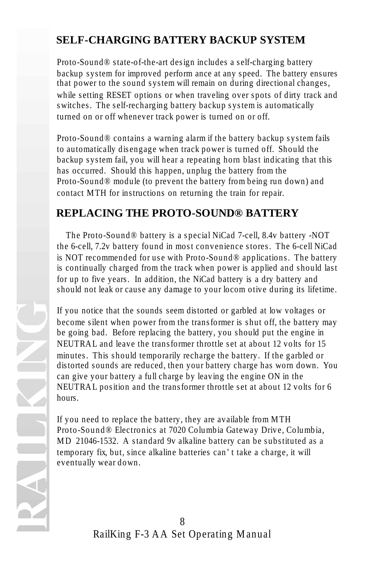## **SELF-CHARGING BATTERY BACKUP SYSTEM**

Proto-Sound® state-of-the-art design includes a self-charging battery backup system for improved perform ance at any speed. The battery ensures that power to the sound system will remain on during directional changes, while setting RESET options or when traveling over spots of dirty track and switches. The self-recharging battery backup system is automatically turned on or off whenever track power is turned on or off.

Proto-Sound® contains a warning alarm if the battery backup system fails to automatically disengage when track power is turned off. Should the backup system fail, you will hear a repeating horn blast indicating that this has occurred. Should this happen, unplug the battery from the Proto-Sound® module (to prevent the battery from being run down) and contact MTH for instructions on returning the train for repair.

### **REPLACING THE PROTO-SOUND® BATTERY**

 The Proto-Sound® battery is a special NiCad 7-cell, 8.4v battery -NOT the 6-cell, 7.2v battery found in most convenience stores. The 6-cell NiCad is NOT recommended for use with Proto-Sound® applications. The battery is continually charged from the track when power is applied and should last for up to five years. In addition, the NiCad battery is a dry battery and should not leak or cause any damage to your locom otive during its lifetime.

If you notice that the sounds seem distorted or garbled at low voltages or become silent when power from the transformer is shut off, the battery may be going bad. Before replacing the battery, you should put the engine in NEUTRAL and leave the transformer throttle set at about 12 volts for 15 minutes. This should temporarily recharge the battery. If the garbled or distorted sounds are reduced, then your battery charge has worn down. You can give your battery a full charge by leaving the engine ON in the NEUTRAL position and the transformer throttle set at about 12 volts for 6 hours.

If you need to replace the battery, they are available from MTH Proto-Sound® Electronics at 7020 Columbia Gateway Drive, Columbia, MD 21046-1532. A standard 9v alkaline battery can be substituted as a temporary fix, but, since alkaline batteries can't take a charge, it will eventually wear down.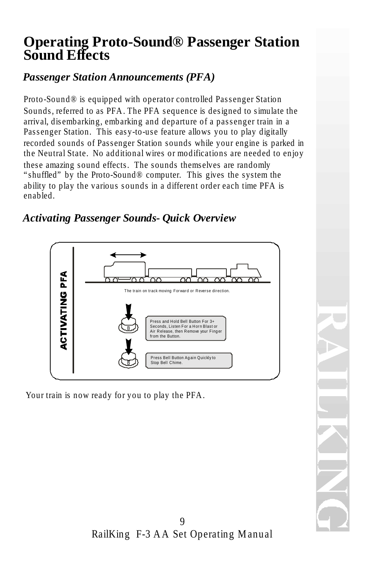# **Operating Proto-Sound® Passenger Station Sound Effects**

## *Passenger Station Announcements (PFA)*

Proto-Sound® is equipped with operator controlled Passenger Station Sounds, referred to as PFA. The PFA sequence is designed to simulate the arrival, disembarking, embarking and departure of a passenger train in a Passenger Station. This easy-to-use feature allows you to play digitally recorded sounds of Passenger Station sounds while your engine is parked in the Neutral State. No additional wires or modifications are needed to enjoy these amazing sound effects. The sounds themselves are randomly "shuffled" by the Proto-Sound® computer. This gives the system the ability to play the various sounds in a different order each time PFA is enabled.

### *Activating Passenger Sounds- Quick Overview*



Your train is now ready for you to play the PFA.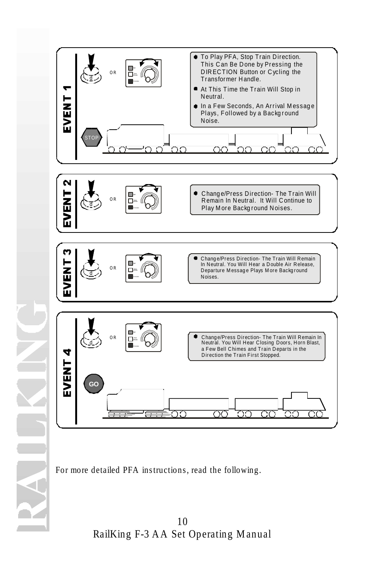

For more detailed PFA instructions, read the following.

10 RailKing F-3 AA Set Operating Manual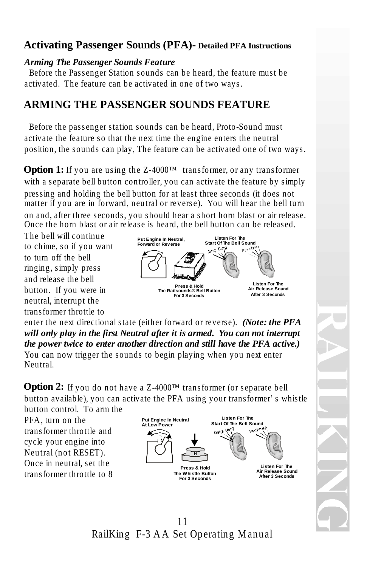#### **Activating Passenger Sounds (PFA)- Detailed PFA Instructions**

#### *Arming The Passenger Sounds Feature*

 Before the Passenger Station sounds can be heard, the feature must be activated. The feature can be activated in one of two ways.

## **ARMING THE PASSENGER SOUNDS FEATURE**

 Before the passenger station sounds can be heard, Proto-Sound must activate the feature so that the next time the engine enters the neutral position, the sounds can play, The feature can be activated one of two ways.

**Option 1:** If you are using the Z-4000™ transformer, or any transformer with a separate bell button controller, you can activate the feature by simply pressing and holding the bell button for at least three seconds (it does not matter if you are in forward, neutral or reverse). You will hear the bell turn on and, after three seconds, you should hear a short horn blast or air release. Once the horn blast or air release is heard, the bell button can be released.

The bell will continue to chime, so if you want to turn off the bell ringing, simply press and release the bell button. If you were in neutral, interrupt the transformer throttle to



enter the next directional state (either forward or reverse). *(Note: the PFA will only play in the first Neutral after it is armed. You can not interrupt the power twice to enter another direction and still have the PFA active.)* You can now trigger the sounds to begin playing when you next enter Neutral.

**Option 2:** If you do not have a Z-4000™ transformer (or separate bell button available), you can activate the PFA using your transformer's whistle button control. To arm the

PFA, turn on the transformer throttle and cycle your engine into Neutral (not RESET). Once in neutral, set the transformer throttle to 8

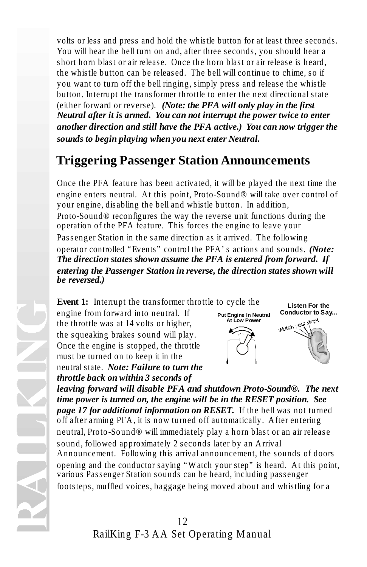volts or less and press and hold the whistle button for at least three seconds. You will hear the bell turn on and, after three seconds, you should hear a short horn blast or air release. Once the horn blast or air release is heard, the whistle button can be released. The bell will continue to chime, so if you want to turn off the bell ringing, simply press and release the whistle button. Interrupt the transformer throttle to enter the next directional state (either forward or reverse). *(Note: the PFA will only play in the first Neutral after it is armed. You can not interrupt the power twice to enter another direction and still have the PFA active.) You can now trigger the sounds to begin playing when you next enter Neutral.*

## **Triggering Passenger Station Announcements**

Once the PFA feature has been activated, it will be played the next time the engine enters neutral. At this point, Proto-Sound® will take over control of your engine, disabling the bell and whistle button. In addition, Proto-Sound® reconfigures the way the reverse unit functions during the operation of the PFA feature. This forces the engine to leave your Passenger Station in the same direction as it arrived. The following operator controlled "Events" control the PFA's actions and sounds. *(Note: The direction states shown assume the PFA is entered from forward. If entering the Passenger Station in reverse, the direction states shown will be reversed.)*

**Event 1:** Interrupt the transformer throttle to cycle the

engine from forward into neutral. If the throttle was at 14 volts or higher, the squeaking brakes sound will play. Once the engine is stopped, the throttle must be turned on to keep it in the neutral state. *Note: Failure to turn the throttle back on within 3 seconds of*



*leaving forward will disable PFA and shutdown Proto-Sound®. The next time power is turned on, the engine will be in the RESET position. See page 17 for additional information on RESET.* If the bell was not turned off after arming PFA, it is now turned off automatically. After entering neutral, Proto-Sound® will immediately play a horn blast or an air release sound, followed approximately 2 seconds later by an Arrival Announcement. Following this arrival announcement, the sounds of doors opening and the conductor saying "Watch your step" is heard. At this point, various Passenger Station sounds can be heard, including passenger footsteps, muffled voices, baggage being moved about and whistling for a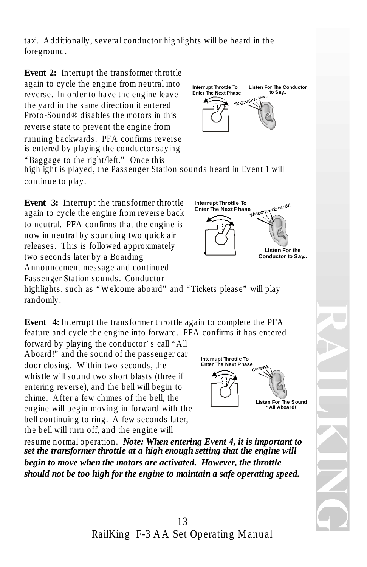taxi. Additionally, several conductor highlights will be heard in the foreground.

**Event 2:** Interrupt the transformer throttle again to cycle the engine from neutral into reverse. In order to have the engine leave the yard in the same direction it entered Proto-Sound® disables the motors in this reverse state to prevent the engine from running backwards. PFA confirms reverse is entered by playing the conductor saying "Baggage to the right/left." Once this



**Interrupt Throttle To**

**Enter The Next Phase**<br> **Enter The Next Phase** 

highlight is played, the Passenger Station sounds heard in Event 1 will continue to play.

**Event 3:** Interrupt the transformer throttle again to cycle the engine from reverse back to neutral. PFA confirms that the engine is now in neutral by sounding two quick air releases. This is followed approximately two seconds later by a Boarding Announcement message and continued Passenger Station sounds. Conductor



**Event 4:** Interrupt the transformer throttle again to complete the PFA feature and cycle the engine into forward. PFA confirms it has entered

forward by playing the conductor's call "All Aboard!" and the sound of the passenger car door closing. Within two seconds, the whistle will sound two short blasts (three if entering reverse), and the bell will begin to chime. After a few chimes of the bell, the engine will begin moving in forward with the bell continuing to ring. A few seconds later, the bell will turn off, and the engine will



**Listen For the Conductor to Say..**

resume normal operation. *Note: When entering Event 4, it is important to set the transformer throttle at a high enough setting that the engine will begin to move when the motors are activated. However, the throttle should not be too high for the engine to maintain a safe operating speed.*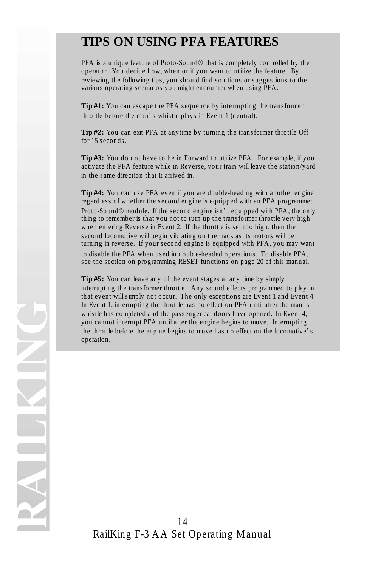## **TIPS ON USING PFA FEATURES**

PFA is a unique feature of Proto-Sound® that is completely controlled by the operator. You decide how, when or if you want to utilize the feature. By reviewing the following tips, you should find solutions or suggestions to the various operating scenarios you might encounter when using PFA.

**Tip #1:** You can escape the PFA sequence by interrupting the transformer throttle before the man's whistle plays in Event 1 (neutral).

**Tip #2:** You can exit PFA at anytime by turning the transformer throttle Off for 15 seconds.

**Tip #3:** You do not have to be in Forward to utilize PFA. For example, if you activate the PFA feature while in Reverse, your train will leave the station/yard in the same direction that it arrived in.

**Tip #4:** You can use PFA even if you are double-heading with another engine regardless of whether the second engine is equipped with an PFA programmed Proto-Sound® module. If the second engine isn't equipped with PFA, the only thing to remember is that you not to turn up the transformer throttle very high when entering Reverse in Event 2. If the throttle is set too high, then the second locomotive will begin vibrating on the track as its motors will be turning in reverse. If your second engine is equipped with PFA, you may want to disable the PFA when used in double-headed operations. To disable PFA, see the section on programming RESET functions on page 20 of this manual.

**Tip #5:** You can leave any of the event stages at any time by simply interrupting the transformer throttle. Any sound effects programmed to play in that event will simply not occur. The only exceptions are Event 1 and Event 4. In Event 1, interrupting the throttle has no effect on PFA until after the man's whistle has completed and the passenger car doors have opened. In Event 4, you cannot interrupt PFA until after the engine begins to move. Interrupting the throttle before the engine begins to move has no effect on the locomotive's operation.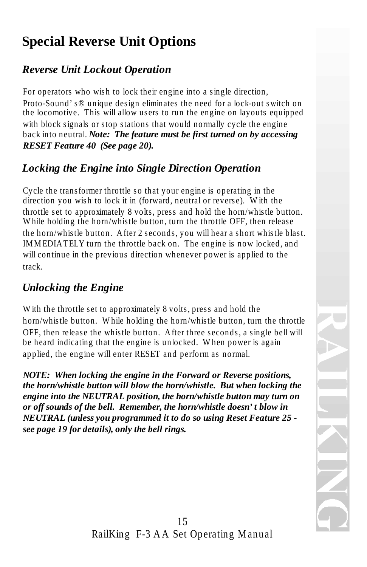# **Special Reverse Unit Options**

## *Reverse Unit Lockout Operation*

For operators who wish to lock their engine into a single direction, Proto-Sound's® unique design eliminates the need for a lock-out switch on the locomotive. This will allow users to run the engine on layouts equipped with block signals or stop stations that would normally cycle the engine back into neutral. *Note: The feature must be first turned on by accessing RESET Feature 40 (See page 20).* 

## *Locking the Engine into Single Direction Operation*

Cycle the transformer throttle so that your engine is operating in the direction you wish to lock it in (forward, neutral or reverse). With the throttle set to approximately 8 volts, press and hold the horn/whistle button. While holding the horn/whistle button, turn the throttle OFF, then release the horn/whistle button. After 2 seconds, you will hear a short whistle blast. IMMEDIATELY turn the throttle back on. The engine is now locked, and will continue in the previous direction whenever power is applied to the track.

## *Unlocking the Engine*

With the throttle set to approximately 8 volts, press and hold the horn/whistle button. While holding the horn/whistle button, turn the throttle OFF, then release the whistle button. After three seconds, a single bell will be heard indicating that the engine is unlocked. When power is again applied, the engine will enter RESET and perform as normal.

*NOTE: When locking the engine in the Forward or Reverse positions, the horn/whistle button will blow the horn/whistle. But when locking the engine into the NEUTRAL position, the horn/whistle button may turn on or off sounds of the bell. Remember, the horn/whistle doesn't blow in NEUTRAL (unless you programmed it to do so using Reset Feature 25 see page 19 for details), only the bell rings.*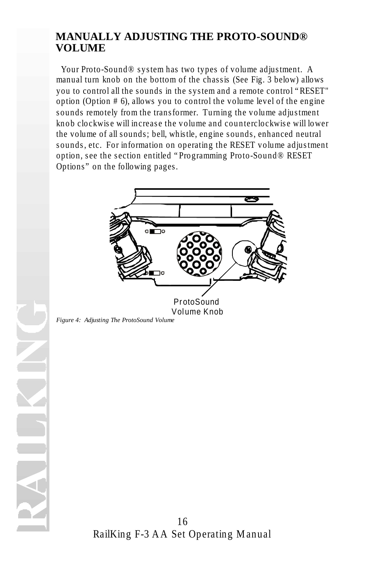#### **MANUALLY ADJUSTING THE PROTO-SOUND® VOLUME**

 Your Proto-Sound® system has two types of volume adjustment. A manual turn knob on the bottom of the chassis (See Fig. 3 below) allows you to control all the sounds in the system and a remote control "RESET" option (Option # 6), allows you to control the volume level of the engine sounds remotely from the transformer. Turning the volume adjustment knob clockwise will increase the volume and counterclockwise will lower the volume of all sounds; bell, whistle, engine sounds, enhanced neutral sounds, etc. For information on operating the RESET volume adjustment option, see the section entitled "Programming Proto-Sound® RESET Options" on the following pages.



*Figure 4: Adjusting The ProtoSound Volume*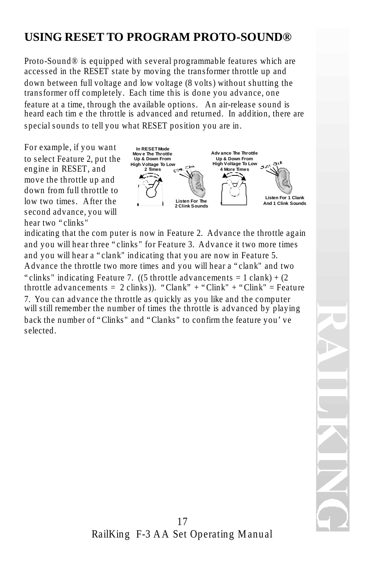## **USING RESET TO PROGRAM PROTO-SOUND®**

Proto-Sound® is equipped with several programmable features which are accessed in the RESET state by moving the transformer throttle up and down between full voltage and low voltage (8 volts) without shutting the transformer off completely. Each time this is done you advance, one feature at a time, through the available options. An air-release sound is heard each tim e the throttle is advanced and returned. In addition, there are special sounds to tell you what RESET position you are in.

For example, if you want to select Feature 2, put the engine in RESET, and move the throttle up and down from full throttle to low two times. After the second advance, you will hear two "clinks"



indicating that the com puter is now in Feature 2. Advance the throttle again and you will hear three "clinks" for Feature 3. Advance it two more times and you will hear a "clank" indicating that you are now in Feature 5. Advance the throttle two more times and you will hear a "clank" and two "clinks" indicating Feature 7.  $((5 \text{ throttle} automements = 1 \text{ clank}) + (2$ throttle advancements =  $2 \text{ clinks}$ ). "Clank" + "Clink" + "Clink" = Feature 7. You can advance the throttle as quickly as you like and the computer will still remember the number of times the throttle is advanced by playing back the number of "Clinks" and "Clanks" to confirm the feature you've selected.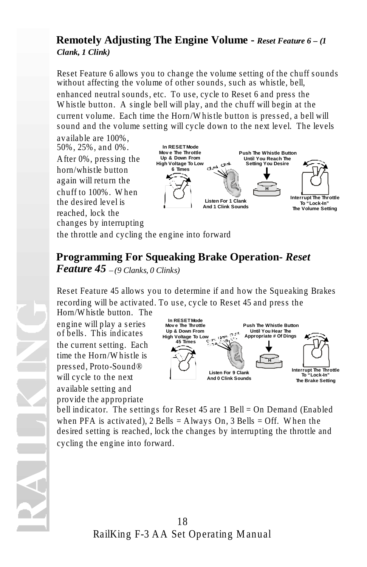#### **Remotely Adjusting The Engine Volume -** *Reset Feature 6 – (1 Clank, 1 Clink)*

Reset Feature 6 allows you to change the volume setting of the chuff sounds without affecting the volume of other sounds, such as whistle, bell,

enhanced neutral sounds, etc. To use, cycle to Reset 6 and press the Whistle button. A single bell will play, and the chuff will begin at the current volume. Each time the Horn/Whistle button is pressed, a bell will sound and the volume setting will cycle down to the next level. The levels available are 100%,

50%, 25%, and 0%. After 0%, pressing the horn/whistle button again will return the chuff to 100%. When the desired level is reached, lock the changes by interrupting



the throttle and cycling the engine into forward

#### **Programming For Squeaking Brake Operation-** *Reset Feature 45 –(9 Clanks, 0 Clinks)*

Reset Feature 45 allows you to determine if and how the Squeaking Brakes recording will be activated. To use, cycle to Reset 45 and press the

Horn/Whistle button. The engine will play a series of bells. This indicates the current setting. Each time the Horn/Whistle is pressed, Proto-Sound® will cycle to the next available setting and provide the appropriate



bell indicator. The settings for Reset 45 are 1 Bell = On Demand (Enabled when PFA is activated),  $2$  Bells = Always On,  $3$  Bells = Off. When the desired setting is reached, lock the changes by interrupting the throttle and cycling the engine into forward.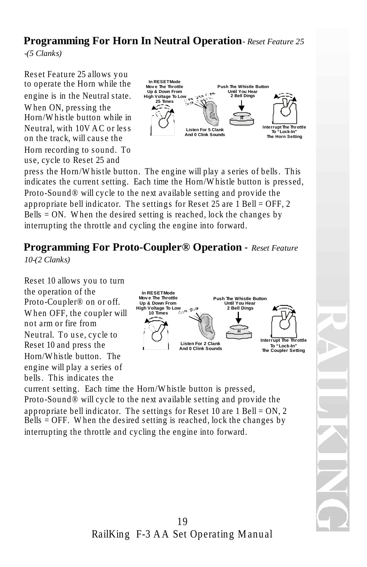#### **Programming For Horn In Neutral Operation**- *Reset Feature 25*

*-(5 Clanks)*

Reset Feature 25 allows you to operate the Horn while the engine is in the Neutral state. When ON, pressing the Horn/Whistle button while in Neutral, with 10V AC or less on the track, will cause the Horn recording to sound. To use, cycle to Reset 25 and



press the Horn/Whistle button. The engine will play a series of bells. This indicates the current setting. Each time the Horn/Whistle button is pressed, Proto-Sound® will cycle to the next available setting and provide the appropriate bell indicator. The settings for Reset 25 are 1 Bell = OFF, 2 Bells = ON. When the desired setting is reached, lock the changes by interrupting the throttle and cycling the engine into forward.

## **Programming For Proto-Coupler® Operation** - *Reset Feature*

*10-(2 Clanks)*

Reset 10 allows you to turn the operation of the Proto-Coupler® on or off. When OFF, the coupler will not arm or fire from Neutral. To use, cycle to Reset 10 and press the Horn/Whistle button. The engine will play a series of bells. This indicates the



current setting. Each time the Horn/Whistle button is pressed, Proto-Sound® will cycle to the next available setting and provide the appropriate bell indicator. The settings for Reset 10 are  $1$  Bell = ON,  $2$  $Bells = OFF$ . When the desired setting is reached, lock the changes by interrupting the throttle and cycling the engine into forward.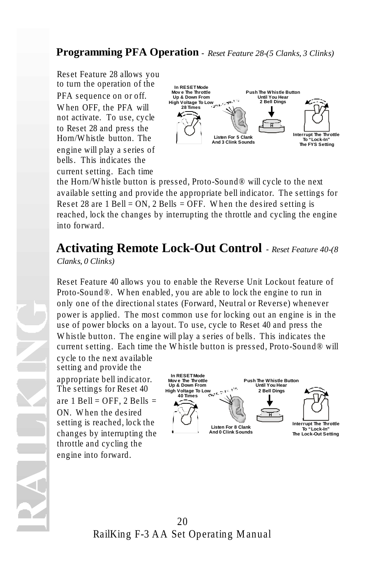#### **Programming PFA Operation** - *Reset Feature 28-(5 Clanks, 3 Clinks)*

Reset Feature 28 allows you to turn the operation of the PFA sequence on or off. When OFF, the PFA will not activate. To use, cycle to Reset 28 and press the Horn/Whistle button. The engine will play a series of bells. This indicates the current setting. Each time



the Horn/Whistle button is pressed, Proto-Sound® will cycle to the next available setting and provide the appropriate bell indicator. The settings for Reset 28 are 1 Bell = ON, 2 Bells = OFF. When the desired setting is reached, lock the changes by interrupting the throttle and cycling the engine into forward.

## **Activating Remote Lock-Out Control** - *Reset Feature 40-(8*

*Clanks, 0 Clinks)*

Reset Feature 40 allows you to enable the Reverse Unit Lockout feature of Proto-Sound®. When enabled, you are able to lock the engine to run in only one of the directional states (Forward, Neutral or Reverse) whenever power is applied. The most common use for locking out an engine is in the use of power blocks on a layout. To use, cycle to Reset 40 and press the Whistle button. The engine will play a series of bells. This indicates the current setting. Each time the Whistle button is pressed, Proto-Sound® will

cycle to the next available setting and provide the appropriate bell indicator. The settings for Reset 40 are 1 Bell = OFF, 2 Bells = ON. When the desired setting is reached, lock the changes by interrupting the throttle and cycling the engine into forward.

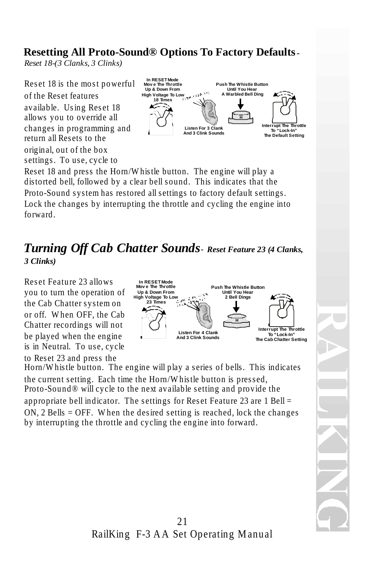#### **Resetting All Proto-Sound® Options To Factory Defaults** *-*

*Reset 18-(3 Clanks, 3 Clinks)*

Reset 18 is the most powerful of the Reset features available. Using Reset 18 allows you to override all changes in programming and return all Resets to the original, out of the box settings. To use, cycle to



Reset 18 and press the Horn/Whistle button. The engine will play a distorted bell, followed by a clear bell sound. This indicates that the Proto-Sound system has restored all settings to factory default settings. Lock the changes by interrupting the throttle and cycling the engine into forward.

## *Turning Off Cab Chatter Sounds*- *Reset Feature 23 (4 Clanks, 3 Clinks)*

Reset Feature 23 allows you to turn the operation of the Cab Chatter system on or off. When OFF, the Cab Chatter recordings will not be played when the engine is in Neutral. To use, cycle to Reset 23 and press the



Horn/Whistle button. The engine will play a series of bells. This indicates the current setting. Each time the Horn/Whistle button is pressed, Proto-Sound® will cycle to the next available setting and provide the appropriate bell indicator. The settings for Reset Feature 23 are 1 Bell = ON, 2 Bells = OFF. When the desired setting is reached, lock the changes by interrupting the throttle and cycling the engine into forward.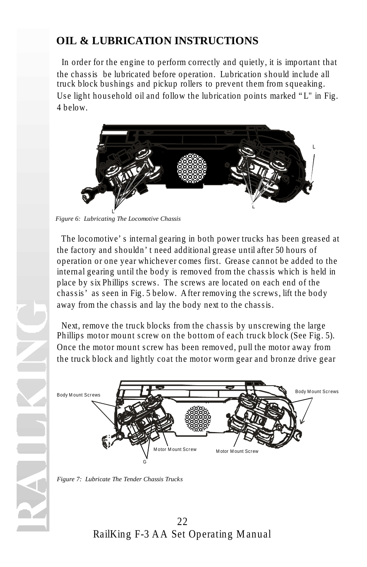### **OIL & LUBRICATION INSTRUCTIONS**

 In order for the engine to perform correctly and quietly, it is important that the chassis be lubricated before operation. Lubrication should include all truck block bushings and pickup rollers to prevent them from squeaking. Use light household oil and follow the lubrication points marked "L" in Fig. 4 below.



*Figure 6: Lubricating The Locomotive Chassis*

 The locomotive's internal gearing in both power trucks has been greased at the factory and shouldn't need additional grease until after 50 hours of operation or one year whichever comes first. Grease cannot be added to the internal gearing until the body is removed from the chassis which is held in place by six Phillips screws. The screws are located on each end of the chassis' as seen in Fig. 5 below. After removing the screws, lift the body away from the chassis and lay the body next to the chassis.

 Next, remove the truck blocks from the chassis by unscrewing the large Phillips motor mount screw on the bottom of each truck block (See Fig. 5). Once the motor mount screw has been removed, pull the motor away from the truck block and lightly coat the motor worm gear and bronze drive gear



*Figure 7: Lubricate The Tender Chassis Trucks*

22 RailKing F-3 AA Set Operating Manual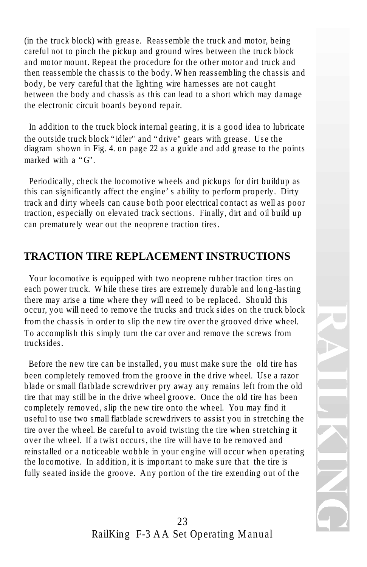(in the truck block) with grease. Reassemble the truck and motor, being careful not to pinch the pickup and ground wires between the truck block and motor mount. Repeat the procedure for the other motor and truck and then reassemble the chassis to the body. When reassembling the chassis and body, be very careful that the lighting wire harnesses are not caught between the body and chassis as this can lead to a short which may damage the electronic circuit boards beyond repair.

 In addition to the truck block internal gearing, it is a good idea to lubricate the outside truck block "idler" and "drive" gears with grease. Use the diagram shown in Fig. 4. on page 22 as a guide and add grease to the points marked with a "G".

 Periodically, check the locomotive wheels and pickups for dirt buildup as this can significantly affect the engine's ability to perform properly. Dirty track and dirty wheels can cause both poor electrical contact as well as poor traction, especially on elevated track sections. Finally, dirt and oil build up can prematurely wear out the neoprene traction tires.

#### **TRACTION TIRE REPLACEMENT INSTRUCTIONS**

 Your locomotive is equipped with two neoprene rubber traction tires on each power truck. While these tires are extremely durable and long-lasting there may arise a time where they will need to be replaced. Should this occur, you will need to remove the trucks and truck sides on the truck block from the chassis in order to slip the new tire over the grooved drive wheel. To accomplish this simply turn the car over and remove the screws from trucksides.

 Before the new tire can be installed, you must make sure the old tire has been completely removed from the groove in the drive wheel. Use a razor blade or small flatblade screwdriver pry away any remains left from the old tire that may still be in the drive wheel groove. Once the old tire has been completely removed, slip the new tire onto the wheel. You may find it useful to use two small flatblade screwdrivers to assist you in stretching the tire over the wheel. Be careful to avoid twisting the tire when stretching it over the wheel. If a twist occurs, the tire will have to be removed and reinstalled or a noticeable wobble in your engine will occur when operating the locomotive. In addition, it is important to make sure that the tire is fully seated inside the groove. Any portion of the tire extending out of the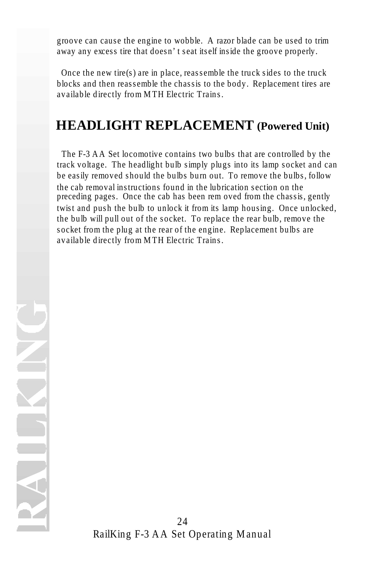groove can cause the engine to wobble. A razor blade can be used to trim away any excess tire that doesn't seat itself inside the groove properly.

 Once the new tire(s) are in place, reassemble the truck sides to the truck blocks and then reassemble the chassis to the body. Replacement tires are available directly from MTH Electric Trains.

## **HEADLIGHT REPLACEMENT (Powered Unit)**

 The F-3 AA Set locomotive contains two bulbs that are controlled by the track voltage. The headlight bulb simply plugs into its lamp socket and can be easily removed should the bulbs burn out. To remove the bulbs, follow the cab removal instructions found in the lubrication section on the preceding pages. Once the cab has been rem oved from the chassis, gently twist and push the bulb to unlock it from its lamp housing. Once unlocked, the bulb will pull out of the socket. To replace the rear bulb, remove the socket from the plug at the rear of the engine. Replacement bulbs are available directly from MTH Electric Trains.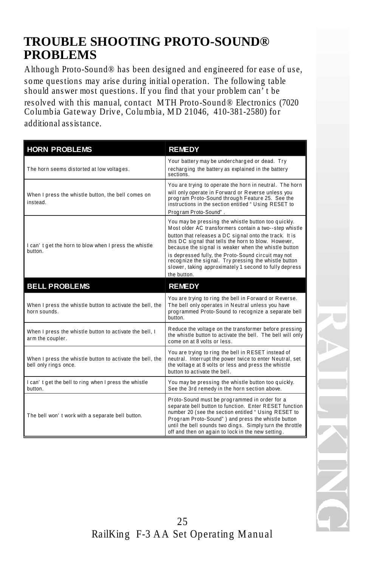## **TROUBLE SHOOTING PROTO-SOUND® PROBLEMS**

Although Proto-Sound® has been designed and engineered for ease of use, some questions may arise during initial operation. The following table should answer most questions. If you find that your problem can't be resolved with this manual, contact MTH Proto-Sound® Electronics (7020 Columbia Gateway Drive, Columbia, MD 21046, 410-381-2580) for additional assistance.

| <b>HORN PROBLEMS</b>                                                               | <b>REMEDY</b>                                                                                                                                                                                                                                                                                                                                                                                                                                                                    |
|------------------------------------------------------------------------------------|----------------------------------------------------------------------------------------------------------------------------------------------------------------------------------------------------------------------------------------------------------------------------------------------------------------------------------------------------------------------------------------------------------------------------------------------------------------------------------|
| The horn seems distorted at low voltages.                                          | Your battery may be undercharged or dead. Try<br>recharging the battery as explained in the battery<br>sections.                                                                                                                                                                                                                                                                                                                                                                 |
| When I press the whistle button, the bell comes on<br>instead.                     | You are trying to operate the horn in neutral. The horn<br>will only operate in Forward or Reverse unless you<br>program Proto-Sound through Feature 25. See the<br>instructions in the section entitled " Using RESET to<br>Program Proto-Sound".                                                                                                                                                                                                                               |
| I can't get the horn to blow when I press the whistle<br>button.                   | You may be pressing the whistle button too quickly.<br>Most older AC transformers contain a two--step whistle<br>button that releases a DC signal onto the track. It is<br>this DC signal that tells the horn to blow. However,<br>because the signal is weaker when the whistle button<br>is depressed fully, the Proto-Sound circuit may not<br>recognize the signal. Try pressing the whistle button<br>slower, taking approximately 1 second to fully depress<br>the button. |
| <b>BELL PROBLEMS</b>                                                               | <b>REMEDY</b>                                                                                                                                                                                                                                                                                                                                                                                                                                                                    |
| When I press the whistle button to activate the bell, the<br>horn sounds.          | You are trying to ring the bell in Forward or Reverse.<br>The bell only operates in Neutral unless you have<br>programmed Proto-Sound to recognize a separate bell<br>button.                                                                                                                                                                                                                                                                                                    |
| When I press the whistle button to activate the bell, I<br>arm the coupler.        | Reduce the voltage on the transformer before pressing<br>the whistle button to activate the bell. The bell will only<br>come on at 8 volts or less.                                                                                                                                                                                                                                                                                                                              |
| When I press the whistle button to activate the bell, the<br>bell only rings once. | You are trying to ring the bell in RESET instead of<br>neutral. Interrupt the power twice to enter Neutral, set<br>the voltage at 8 volts or less and press the whistle<br>button to activate the bell.                                                                                                                                                                                                                                                                          |
| I can't get the bell to ring when I press the whistle<br>button.                   | You may be pressing the whistle button too quickly.<br>See the 3rd remedy in the horn section above.                                                                                                                                                                                                                                                                                                                                                                             |
| The bell won't work with a separate bell button.                                   | Proto-Sound must be programmed in order for a<br>separate bell button to function. Enter RESET function<br>number 20 (see the section entitled "Using RESET to<br>Program Proto-Sound") and press the whistle button<br>until the bell sounds two dings. Simply turn the throttle<br>off and then on again to lock in the new setting.                                                                                                                                           |

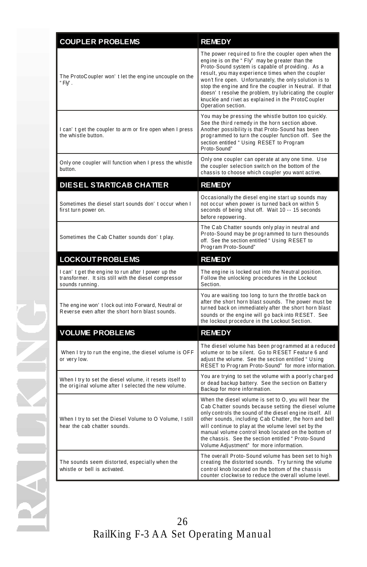| <b>COUPLER PROBLEMS</b>                                                                                                        | <b>REMEDY</b>                                                                                                                                                                                                                                                                                                                                                                                                                                                                  |  |
|--------------------------------------------------------------------------------------------------------------------------------|--------------------------------------------------------------------------------------------------------------------------------------------------------------------------------------------------------------------------------------------------------------------------------------------------------------------------------------------------------------------------------------------------------------------------------------------------------------------------------|--|
| The ProtoCoupler won't let the engine uncouple on the<br>$"$ Fly".                                                             | The power required to fire the coupler open when the<br>engine is on the "Fly" may be greater than the<br>Proto-Sound system is capable of providing. As a<br>result, you may experience times when the coupler<br>won't fire open. Unfortunately, the only solution is to<br>stop the engine and fire the coupler in Neutral. If that<br>doesn't resolve the problem, try lubricating the coupler<br>knuckle and rivet as explained in the ProtoCoupler<br>Operation section. |  |
| I can't get the coupler to arm or fire open when I press<br>the whistle button.                                                | You may be pressing the whistle button too quickly.<br>See the third remedy in the horn section above.<br>Another possibility is that Proto-Sound has been<br>programmed to turn the coupler function off. See the<br>section entitled " Using RESET to Program<br>Proto-Sound"                                                                                                                                                                                                |  |
| Only one coupler will function when I press the whistle<br>button.                                                             | Only one coupler can operate at any one time. Use<br>the coupler selection switch on the bottom of the<br>chassis to choose which coupler you want active.                                                                                                                                                                                                                                                                                                                     |  |
| <b>DIESEL START/CAB CHATTER</b>                                                                                                | <b>REMEDY</b>                                                                                                                                                                                                                                                                                                                                                                                                                                                                  |  |
| Sometimes the diesel start sounds don't occur when I<br>first turn power on.                                                   | Occasionally the diesel engine start up sounds may<br>not occur when power is turned back on within 5<br>seconds of being shut off. Wait 10 -- 15 seconds<br>before repowering.                                                                                                                                                                                                                                                                                                |  |
| Sometimes the Cab Chatter sounds don't play.                                                                                   | The Cab Chatter sounds only play in neutral and<br>Proto-Sound may be programmed to turn thesounds<br>off. See the section entitled "Using RESET to<br>Program Proto-Sound"                                                                                                                                                                                                                                                                                                    |  |
| <b>LOCKOUTPROBLEMS</b>                                                                                                         | <b>REMEDY</b>                                                                                                                                                                                                                                                                                                                                                                                                                                                                  |  |
| I can't get the engine to run after I power up the<br>transformer. It sits still with the diesel compressor<br>sounds running. | The engine is locked out into the Neutral position.<br>Follow the unlocking procedures in the Lockout<br>Section.                                                                                                                                                                                                                                                                                                                                                              |  |
| The engine won't lock out into Forward, Neutral or<br>Reverse even after the short horn blast sounds.                          | You are waiting too long to turn the throttle back on<br>after the short horn blast sounds. The power must be<br>turned back on immediately after the short horn blast<br>sounds or the engine will go back into RESET. See<br>the lockout procedure in the Lockout Section.                                                                                                                                                                                                   |  |
| <b>VOLUME PROBLEMS</b>                                                                                                         | <b>REMEDY</b>                                                                                                                                                                                                                                                                                                                                                                                                                                                                  |  |
| When I try to run the engine, the diesel volume is OFF<br>or very low.                                                         | The diesel volume has been programmed at a reduced<br>volume or to be silent. Go to RESET Feature 6 and<br>adjust the volume. See the section entitled "Using<br>RESET to Program Proto-Sound" for more information.                                                                                                                                                                                                                                                           |  |
| When I try to set the diesel volume, it resets itself to<br>the original volume after I selected the new volume.               | You are trying to set the volume with a poorly charged<br>or dead backup battery. See the section on Battery<br>Backup for more information.                                                                                                                                                                                                                                                                                                                                   |  |
| When I try to set the Diesel Volume to O Volume, I still<br>hear the cab chatter sounds.                                       | When the diesel volume is set to O, you will hear the<br>Cab Chatter sounds because setting the diesel volume<br>only controls the sound of the diesel engine itself. All<br>other sounds, including Cab Chatter, the horn and bell<br>will continue to play at the volume level set by the<br>manual volume control knob located on the bottom of<br>the chassis. See the section entitled " Proto-Sound<br>Volume Adjustment" for more information.                          |  |
| The sounds seem distorted, especially when the<br>whistle or bell is activated.                                                | The overall Proto-Sound volume has been set to high<br>creating the distorted sounds. Try turning the volume<br>control knob located on the bottom of the chassis<br>counter clockwise to reduce the overall volume level.                                                                                                                                                                                                                                                     |  |

KUN

**ELS**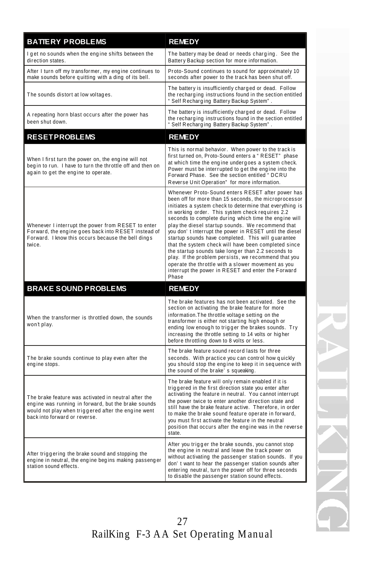| <b>BATTERY PROBLEMS</b>                                                                                                                                                                             | <b>REMEDY</b>                                                                                                                                                                                                                                                                                                                                                                                                                                                                                                                                                                                                                                                                                                                                        |
|-----------------------------------------------------------------------------------------------------------------------------------------------------------------------------------------------------|------------------------------------------------------------------------------------------------------------------------------------------------------------------------------------------------------------------------------------------------------------------------------------------------------------------------------------------------------------------------------------------------------------------------------------------------------------------------------------------------------------------------------------------------------------------------------------------------------------------------------------------------------------------------------------------------------------------------------------------------------|
| I get no sounds when the engine shifts between the<br>direction states.                                                                                                                             | The battery may be dead or needs charging. See the<br>Battery Backup section for more information.                                                                                                                                                                                                                                                                                                                                                                                                                                                                                                                                                                                                                                                   |
| After I turn off my transformer, my engine continues to<br>make sounds before quitting with a ding of its bell.                                                                                     | Proto-Sound continues to sound for approximately 10<br>seconds after power to the track has been shut off.                                                                                                                                                                                                                                                                                                                                                                                                                                                                                                                                                                                                                                           |
| The sounds distort at low voltages.                                                                                                                                                                 | The battery is insufficiently charged or dead. Follow<br>the recharging instructions found in the section entitled<br>" Self Recharging Battery Backup System".                                                                                                                                                                                                                                                                                                                                                                                                                                                                                                                                                                                      |
| A repeating horn blast occurs after the power has<br>been shut down.                                                                                                                                | The battery is insufficiently charged or dead. Follow<br>the recharging instructions found in the section entitled<br>" Self Recharging Battery Backup System".                                                                                                                                                                                                                                                                                                                                                                                                                                                                                                                                                                                      |
| <b>RESETPROBLEMS</b>                                                                                                                                                                                | <b>REMEDY</b>                                                                                                                                                                                                                                                                                                                                                                                                                                                                                                                                                                                                                                                                                                                                        |
| When I first turn the power on, the engine will not<br>begin to run. I have to turn the throttle off and then on<br>again to get the engine to operate.                                             | This is normal behavior. When power to the track is<br>first turned on, Proto-Sound enters a "RESET" phase<br>at which time the engine undergoes a system check.<br>Power must be interrupted to get the engine into the<br>Forward Phase. See the section entitled "DCRU<br>Reverse Unit Operation" for more information.                                                                                                                                                                                                                                                                                                                                                                                                                           |
| Whenever I interrupt the power from RESET to enter<br>Forward, the engine goes back into RESET instead of<br>Forward. I know this occurs because the bell dings<br>twice.                           | Whenever Proto-Sound enters RESET after power has<br>been off for more than 15 seconds, the microprocessor<br>initiates a system check to determine that everything is<br>in working order. This system check requires 2.2<br>seconds to complete during which time the engine will<br>play the diesel startup sounds. We recommend that<br>you don't interrupt the power in RESET until the diesel<br>startup sounds have completed. This will guarantee<br>that the system check will have been completed since<br>the startup sounds take longer than 2.2 seconds to<br>play. If the problem persists, we recommend that you<br>operate the throttle with a slower movement as you<br>interrupt the power in RESET and enter the Forward<br>Phase |
| <b>BRAKE SOUND PROBLEMS</b>                                                                                                                                                                         | <b>REMEDY</b>                                                                                                                                                                                                                                                                                                                                                                                                                                                                                                                                                                                                                                                                                                                                        |
| When the transformer is throttled down, the sounds<br>won't play.                                                                                                                                   | The brake features has not been activated. See the<br>section on activating the brake feature for more<br>information. The throttle voltage setting on the<br>transformer is either not starting high enough or<br>ending low enough to trigger the brakes sounds. Try<br>increasing the throttle setting to 14 volts or higher<br>before throttling down to 8 volts or less.                                                                                                                                                                                                                                                                                                                                                                        |
| The brake sounds continue to play even after the<br>engine stops.                                                                                                                                   | The brake feature sound record lasts for three<br>seconds. With practice you can control how quickly<br>you should stop the engine to keep it in sequence with<br>the sound of the brake's squeaking.                                                                                                                                                                                                                                                                                                                                                                                                                                                                                                                                                |
| The brake feature was activated in neutral after the<br>engine was running in forward, but the brake sounds<br>would not play when triggered after the engine went<br>back into forward or reverse. | The brake feature will only remain enabled if it is<br>triggered in the first direction state you enter after<br>activating the feature in neutral. You cannot interrupt<br>the power twice to enter another direction state and<br>still have the brake feature active. Therefore, in order<br>to make the brake sound feature operate in forward,<br>you must first activate the feature in the neutral<br>position that occurs after the engine was in the reverse<br>state.                                                                                                                                                                                                                                                                      |
| After triggering the brake sound and stopping the<br>engine in neutral, the engine begins making passenger<br>station sound effects.                                                                | After you trigger the brake sounds, you cannot stop<br>the engine in neutral and leave the track power on<br>without activating the passenger station sounds. If you<br>don't want to hear the passenger station sounds after<br>entering neutral, turn the power off for three seconds<br>to disable the passenger station sound effects.                                                                                                                                                                                                                                                                                                                                                                                                           |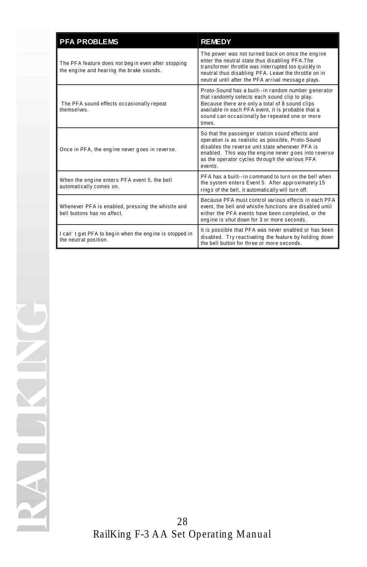| <b>PFA PROBLEMS</b>                                                                            | <b>REMEDY</b>                                                                                                                                                                                                                                                                 |
|------------------------------------------------------------------------------------------------|-------------------------------------------------------------------------------------------------------------------------------------------------------------------------------------------------------------------------------------------------------------------------------|
| The PFA feature does not begin even after stopping<br>the engine and hearing the brake sounds. | The power was not turned back on once the engine<br>enter the neutral state thus disabling PFA. The<br>transformer throttle was interrupted too quickly in<br>neutral thus disabling PFA. Leave the throttle on in<br>neutral until after the PFA arrival message plays.      |
| The PFA sound effects occasionally repeat<br>themselves.                                       | Proto-Sound has a built--in random number generator<br>that randomly selects each sound clip to play.<br>Because there are only a total of 8 sound clips<br>available in each PFA event, it is probable that a<br>sound can occasionally be repeated one or more<br>times.    |
| Once in PFA, the engine never goes in reverse.                                                 | So that the passenger station sound effects and<br>operation is as realistic as possible, Proto-Sound<br>disables the reverse unit state whenever PFA is<br>enabled. This way the engine never goes into reverse<br>as the operator cycles through the various PFA<br>events. |
| When the engine enters PFA event 5, the bell<br>automatically comes on.                        | PFA has a built--in command to turn on the bell when<br>the system enters Event 5. After approximately 15<br>rings of the bell, it automatically will turn off.                                                                                                               |
| Whenever PFA is enabled, pressing the whistle and<br>bell buttons has no affect.               | Because PFA must control various effects in each PFA<br>event, the bell and whistle functions are disabled until<br>either the PFA events have been completed, or the<br>engine is shut down for 3 or more seconds.                                                           |
| I can't get PFA to begin when the engine is stopped in<br>the neutral position.                | It is possible that PFA was never enabled or has been<br>disabled. Try reactivating the feature by holding down<br>the bell button for three or more seconds.                                                                                                                 |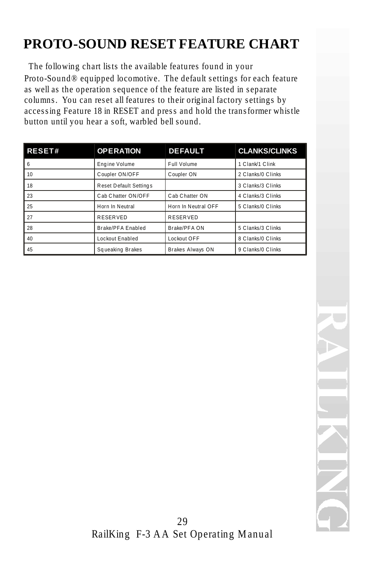# **PROTO-SOUND RESET FEATURE CHART**

 The following chart lists the available features found in your Proto-Sound® equipped locomotive. The default settings for each feature as well as the operation sequence of the feature are listed in separate columns. You can reset all features to their original factory settings by accessing Feature 18 in RESET and press and hold the transformer whistle button until you hear a soft, warbled bell sound.

| <b>RESET#</b> | <b>OPERATION</b>              | <b>DEFAULT</b>          | <b>CLANKS/CLINKS</b> |  |
|---------------|-------------------------------|-------------------------|----------------------|--|
| l 6           | Engine Volume                 | Full Volume             | 1 Clank/1 Clink      |  |
| 10            | Coupler ON/OFF<br>Coupler ON  |                         | 2 Clanks/0 Clinks    |  |
| 18            | <b>Reset Default Settings</b> |                         | 3 Clanks/3 Clinks    |  |
| 23            | Cab Chatter ON/OFF            | Cab Chatter ON          | 4 Clanks/3 Clinks    |  |
| 25            | Horn In Neutral               | Horn In Neutral OFF     | 5 Clanks/0 Clinks    |  |
| 27            | <b>RESERVED</b>               | <b>RESERVED</b>         |                      |  |
| 28            | Brake/PFA Enabled             | Brake/PFA ON            | 5 Clanks/3 Clinks    |  |
| 40            | Lockout Enabled               | Lockout OFF             | 8 Clanks/0 Clinks    |  |
| $\vert$ 45    | Squeaking Brakes              | <b>Brakes Always ON</b> | 9 Clanks/0 Clinks    |  |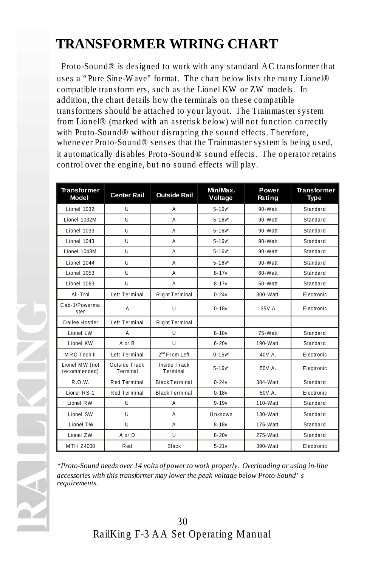# **TRANSFORMER WIRING CHART**

 Proto-Sound® is designed to work with any standard AC transformer that uses a "Pure Sine-Wave" format. The chart below lists the many Lionel® compatible transform ers, such as the Lionel KW or ZW models. In addition, the chart details how the terminals on these compatible transformers should be attached to your layout. The Trainmaster system from Lionel® (marked with an asterisk below) will not function correctly with Proto-Sound® without disrupting the sound effects. Therefore, whenever Proto-Sound® senses that the Trainmaster system is being used, it automatically disables Proto-Sound® sound effects. The operator retains control over the engine, but no sound effects will play.

| <b>Transformer</b><br>Model    | <b>Center Rail</b>        | <b>Outside Rail</b>       | Min/Max.<br>Voltage | Power<br>Rating | <b>Transformer</b><br><b>Type</b> |
|--------------------------------|---------------------------|---------------------------|---------------------|-----------------|-----------------------------------|
| Lionel 1032                    | U                         | A                         | $5 - 16v^*$         | 90-Watt         | Standard                          |
| Lionel 1032M                   | U                         | A                         | $5 - 16v^*$         | 90-Watt         | Standard                          |
| Lionel 1033                    | U                         | A                         | $5 - 16v^*$         | 90-Watt         | Standard                          |
| Lionel 1043                    | U                         | A                         | $5 - 16v^*$         | 90-Watt         | Standard                          |
| Lionel 1043M                   | U                         | A                         | $5 - 16v^*$         | 90-Watt         | Standard                          |
| Lionel 1044                    | U                         | A                         | $5 - 16v^*$         | 90-Watt         | Standard                          |
| Lionel 1053                    | U                         | A                         | $8 - 17v$           | 60-Watt         | Standard                          |
| Lionel 1063                    | U                         | A                         | $8 - 17v$           | 60-Watt         | Standard                          |
| All-Trol                       | Left Terminal             | <b>Right Terminal</b>     | $0-24v$             | 300-Watt        | Electronic                        |
| Cab-1/Powerma<br>ster          | A                         | U                         | $0 - 18v$           | 135V.A.         | Electronic                        |
| Dallee Hostler                 | Left Terminal             | Right Terminal            |                     |                 |                                   |
| Lionel LW                      | A                         | U                         | $8-18v$             | 75-Watt         | Standard                          |
| Lionel KW                      | A or B                    | U                         | $6-20v$             | 190-Watt        | Standard                          |
| MRC Tech II                    | Left Terminal             | 2 <sup>nd</sup> From Left | $0 - 15v^*$         | 40V.A.          | Electronic                        |
| Lionel MW (not<br>recommended) | Outside Track<br>Terminal | Inside Track<br>Terminal  | $5 - 16v^*$         | 50V.A.          | Electronic                        |
| R.O.W.                         | Red Terminal              | <b>Black Terminal</b>     | $0 - 24v$           | 384-Watt        | Standard                          |
| Lionel RS-1                    | <b>Red Terminal</b>       | <b>Black Terminal</b>     | $0-18v$             | 50V.A.          | Electronic                        |
| Lionel RW                      | U                         | A                         | $9 - 19v$           | 110-Watt        | Standard                          |
| Lionel SW                      | U                         | A                         | Unknown             | 130-Watt        | Standard                          |
| Lionel TW                      | U                         | A                         | $8-18v$             | 175-Watt        | Standard                          |
| Lionel ZW                      | A or D                    | U                         | $8-20v$             | 275-Watt        | Standard                          |
| MTH Z4000                      | Red                       | <b>Black</b>              | $5 - 21v$           | 390-Watt        | Electronic                        |

*\*Proto-Sound needs over 14 volts of power to work properly. Overloading or using in-line accessories with this transformer may lower the peak voltage below Proto-Sound's requirements.*

#### 30 RailKing F-3 AA Set Operating Manual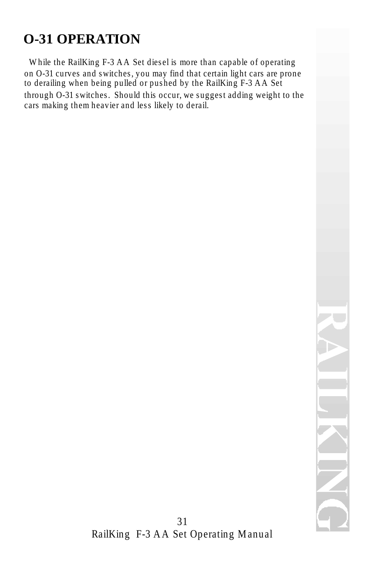# **O-31 OPERATION**

 While the RailKing F-3 AA Set diesel is more than capable of operating on O-31 curves and switches, you may find that certain light cars are prone to derailing when being pulled or pushed by the RailKing F-3 AA Set through O-31 switches. Should this occur, we suggest adding weight to the cars making them heavier and less likely to derail.